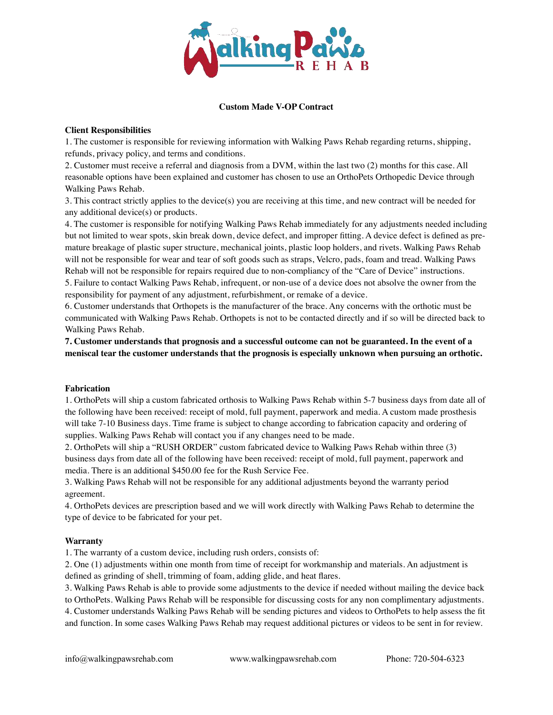

# **Custom Made V-OP Contract**

# **Client Responsibilities**

1. The customer is responsible for reviewing information with Walking Paws Rehab regarding returns, shipping, refunds, privacy policy, and terms and conditions.

2. Customer must receive a referral and diagnosis from a DVM, within the last two (2) months for this case. All reasonable options have been explained and customer has chosen to use an OrthoPets Orthopedic Device through Walking Paws Rehab.

3. This contract strictly applies to the device(s) you are receiving at this time, and new contract will be needed for any additional device(s) or products.

4. The customer is responsible for notifying Walking Paws Rehab immediately for any adjustments needed including but not limited to wear spots, skin break down, device defect, and improper fitting. A device defect is defined as premature breakage of plastic super structure, mechanical joints, plastic loop holders, and rivets. Walking Paws Rehab will not be responsible for wear and tear of soft goods such as straps, Velcro, pads, foam and tread. Walking Paws Rehab will not be responsible for repairs required due to non-compliancy of the "Care of Device" instructions. 5. Failure to contact Walking Paws Rehab, infrequent, or non-use of a device does not absolve the owner from the responsibility for payment of any adjustment, refurbishment, or remake of a device.

6. Customer understands that Orthopets is the manufacturer of the brace. Any concerns with the orthotic must be communicated with Walking Paws Rehab. Orthopets is not to be contacted directly and if so will be directed back to Walking Paws Rehab.

# **7. Customer understands that prognosis and a successful outcome can not be guaranteed. In the event of a meniscal tear the customer understands that the prognosis is especially unknown when pursuing an orthotic.**

### **Fabrication**

1. OrthoPets will ship a custom fabricated orthosis to Walking Paws Rehab within 5-7 business days from date all of the following have been received: receipt of mold, full payment, paperwork and media. A custom made prosthesis will take 7-10 Business days. Time frame is subject to change according to fabrication capacity and ordering of supplies. Walking Paws Rehab will contact you if any changes need to be made.

2. OrthoPets will ship a "RUSH ORDER" custom fabricated device to Walking Paws Rehab within three (3) business days from date all of the following have been received: receipt of mold, full payment, paperwork and media. There is an additional \$450.00 fee for the Rush Service Fee.

3. Walking Paws Rehab will not be responsible for any additional adjustments beyond the warranty period agreement.

4. OrthoPets devices are prescription based and we will work directly with Walking Paws Rehab to determine the type of device to be fabricated for your pet.

### **Warranty**

1. The warranty of a custom device, including rush orders, consists of:

2. One (1) adjustments within one month from time of receipt for workmanship and materials. An adjustment is defined as grinding of shell, trimming of foam, adding glide, and heat flares.

3. Walking Paws Rehab is able to provide some adjustments to the device if needed without mailing the device back

to OrthoPets. Walking Paws Rehab will be responsible for discussing costs for any non complimentary adjustments. 4. Customer understands Walking Paws Rehab will be sending pictures and videos to OrthoPets to help assess the fit and function. In some cases Walking Paws Rehab may request additional pictures or videos to be sent in for review.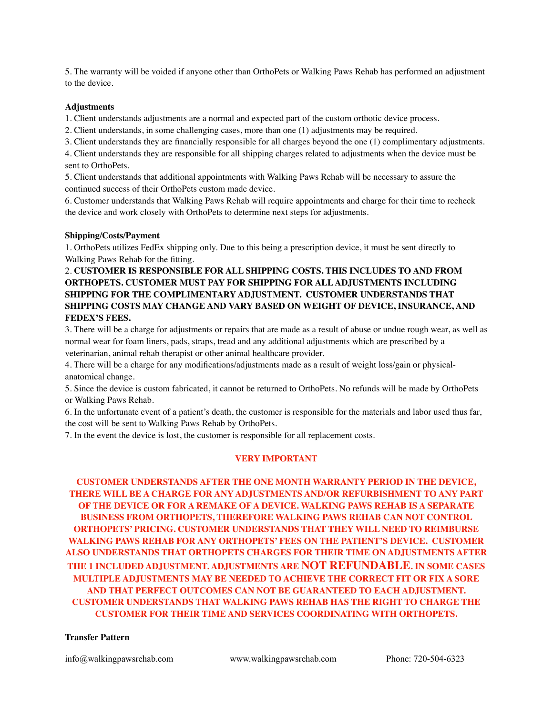5. The warranty will be voided if anyone other than OrthoPets or Walking Paws Rehab has performed an adjustment to the device.

## **Adjustments**

1. Client understands adjustments are a normal and expected part of the custom orthotic device process.

2. Client understands, in some challenging cases, more than one (1) adjustments may be required.

3. Client understands they are financially responsible for all charges beyond the one (1) complimentary adjustments.

4. Client understands they are responsible for all shipping charges related to adjustments when the device must be sent to OrthoPets.

5. Client understands that additional appointments with Walking Paws Rehab will be necessary to assure the continued success of their OrthoPets custom made device.

6. Customer understands that Walking Paws Rehab will require appointments and charge for their time to recheck the device and work closely with OrthoPets to determine next steps for adjustments.

## **Shipping/Costs/Payment**

1. OrthoPets utilizes FedEx shipping only. Due to this being a prescription device, it must be sent directly to Walking Paws Rehab for the fitting.

# 2. **CUSTOMER IS RESPONSIBLE FOR ALL SHIPPING COSTS. THIS INCLUDES TO AND FROM ORTHOPETS. CUSTOMER MUST PAY FOR SHIPPING FOR ALL ADJUSTMENTS INCLUDING SHIPPING FOR THE COMPLIMENTARY ADJUSTMENT. CUSTOMER UNDERSTANDS THAT SHIPPING COSTS MAY CHANGE AND VARY BASED ON WEIGHT OF DEVICE, INSURANCE, AND FEDEX'S FEES.**

3. There will be a charge for adjustments or repairs that are made as a result of abuse or undue rough wear, as well as normal wear for foam liners, pads, straps, tread and any additional adjustments which are prescribed by a veterinarian, animal rehab therapist or other animal healthcare provider.

4. There will be a charge for any modifications/adjustments made as a result of weight loss/gain or physicalanatomical change.

5. Since the device is custom fabricated, it cannot be returned to OrthoPets. No refunds will be made by OrthoPets or Walking Paws Rehab.

6. In the unfortunate event of a patient's death, the customer is responsible for the materials and labor used thus far, the cost will be sent to Walking Paws Rehab by OrthoPets.

7. In the event the device is lost, the customer is responsible for all replacement costs.

# **VERY IMPORTANT**

**CUSTOMER UNDERSTANDS AFTER THE ONE MONTH WARRANTY PERIOD IN THE DEVICE, THERE WILL BE A CHARGE FOR ANY ADJUSTMENTS AND/OR REFURBISHMENT TO ANY PART OF THE DEVICE OR FOR A REMAKE OF A DEVICE. WALKING PAWS REHAB IS A SEPARATE BUSINESS FROM ORTHOPETS, THEREFORE WALKING PAWS REHAB CAN NOT CONTROL ORTHOPETS' PRICING. CUSTOMER UNDERSTANDS THAT THEY WILL NEED TO REIMBURSE WALKING PAWS REHAB FOR ANY ORTHOPETS' FEES ON THE PATIENT'S DEVICE. CUSTOMER ALSO UNDERSTANDS THAT ORTHOPETS CHARGES FOR THEIR TIME ON ADJUSTMENTS AFTER THE 1 INCLUDED ADJUSTMENT. ADJUSTMENTS ARE NOT REFUNDABLE. IN SOME CASES MULTIPLE ADJUSTMENTS MAY BE NEEDED TO ACHIEVE THE CORRECT FIT OR FIX A SORE AND THAT PERFECT OUTCOMES CAN NOT BE GUARANTEED TO EACH ADJUSTMENT. CUSTOMER UNDERSTANDS THAT WALKING PAWS REHAB HAS THE RIGHT TO CHARGE THE CUSTOMER FOR THEIR TIME AND SERVICES COORDINATING WITH ORTHOPETS.**

### **Transfer Pattern**

info@walkingpawsrehab.com www.walkingpawsrehab.com Phone: 720-504-6323